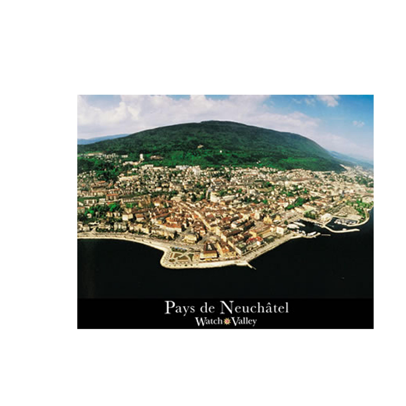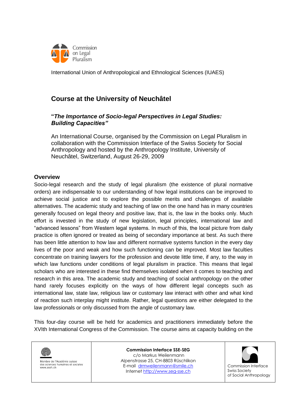

# **Course at the University of Neuchâtel**

### **"***The Importance of Socio-legal Perspectives in Legal Studies: Building Capacities"*

An International Course, organised by the Commission on Legal Pluralism in collaboration with the Commission Interface of the Swiss Society for Social Anthropology and hosted by the Anthropology Institute, University of Neuchâtel, Switzerland, August 26-29, 2009

### **Overview**

Socio-legal research and the study of legal pluralism (the existence of plural normative orders) are indispensable to our understanding of how legal institutions can be improved to achieve social justice and to explore the possible merits and challenges of available alternatives. The academic study and teaching of law on the one hand has in many countries generally focused on legal theory and positive law, that is, the law in the books only. Much effort is invested in the study of new legislation, legal principles, international law and "advanced lessons" from Western legal systems. In much of this, the local picture from daily practice is often ignored or treated as being of secondary importance at best. As such there has been little attention to how law and different normative systems function in the every day lives of the poor and weak and how such functioning can be improved. Most law faculties concentrate on training lawyers for the profession and devote little time, if any, to the way in which law functions under conditions of legal pluralism in practice. This means that legal scholars who are interested in these find themselves isolated when it comes to teaching and research in this area. The academic study and teaching of social anthropology on the other hand rarely focuses explicitly on the ways of how different legal concepts such as international law, state law, religious law or customary law interact with other and what kind of reaction such interplay might institute. Rather, legal questions are either delegated to the law professionals or only discussed from the angle of customary law.

This four-day course will be held for academics and practitioners immediately before the XVIth International Congress of the Commission. The course aims at capacity building on the



Membre de l'Académie suisse des sciences humaines et sociales www.assh.ch

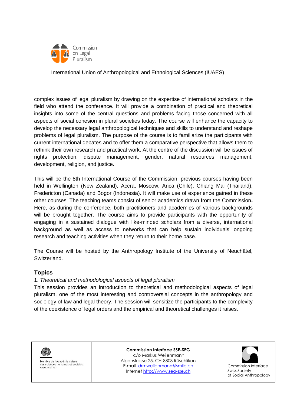

complex issues of legal pluralism by drawing on the expertise of international scholars in the field who attend the conference. It will provide a combination of practical and theoretical insights into some of the central questions and problems facing those concerned with all aspects of social cohesion in plural societies today. The course will enhance the capacity to develop the necessary legal anthropological techniques and skills to understand and reshape problems of legal pluralism. The purpose of the course is to familiarize the participants with current international debates and to offer them a comparative perspective that allows them to rethink their own research and practical work. At the centre of the discussion will be issues of rights protection, dispute management, gender, natural resources management, development, religion, and justice.

This will be the 8th International Course of the Commission, previous courses having been held in Wellington (New Zealand), Accra, Moscow, Arica (Chile), Chiang Mai (Thailand), Fredericton (Canada) and Bogor (Indonesia). It will make use of experience gained in these other courses. The teaching teams consist of senior academics drawn from the Commission**.**  Here, as during the conference, both practitioners and academics of various backgrounds will be brought together. The course aims to provide participants with the opportunity of engaging in a sustained dialogue with like-minded scholars from a diverse, international background as well as access to networks that can help sustain individuals" ongoing research and teaching activities when they return to their home base.

The Course will be hosted by the Anthropology Institute of the University of Neuchâtel, Switzerland.

### **Topics**

### 1. *Theoretical and methodological aspects of legal pluralism*

This session provides an introduction to theoretical and methodological aspects of legal pluralism, one of the most interesting and controversial concepts in the anthropology and sociology of law and legal theory. The session will sensitize the participants to the complexity of the coexistence of legal orders and the empirical and theoretical challenges it raises.



Membre de l'Académie suisse des sciences humaines et sociales www.assh.ch

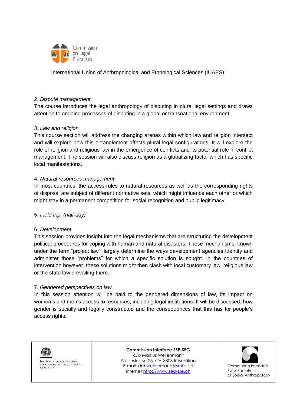

#### 2. *Dispute management*

The course introduces the legal anthropology of disputing in plural legal settings and draws attention to ongoing processes of disputing in a global or transnational environment.

### 3. *Law and religion*

This course section will address the changing arenas within which law and religion intersect and will explore how this entanglement affects plural legal configurations. It will explore the role of religion and religious law in the emergence of conflicts and its potential role in conflict management. The session will also discuss religion as a globalizing factor which has specific local manifestations.

### 4. *Natural resources management*

In most countries, the access-rules to natural resources as well as the corresponding rights of disposal are subject of different normative sets, which might influence each other or which might stay in a permanent competition for social recognition and public legitimacy.

#### 5. *Field trip: (half-day)*

#### 6. *Development*

This session provides insight into the legal mechanisms that are structuring the development political procedures for coping with human and natural disasters. These mechanisms, known under the term "project law", largely determine the ways development agencies identify and administer those "problems" for which a specific solution is sought. In the countries of intervention however, these solutions might then clash with local customary law, religious law or the state law prevailing there.

#### 7. *Gendered perspectives on law*

In this session attention will be paid to the gendered dimensions of law, its impact on women"s and men"s access to resources, including legal institutions. It will be discussed, how gender is socially and legally constructed and the consequences that this has for people"s access rights.



Membre de l'Académie suisse des sciences humaines et sociales www.assh.ch

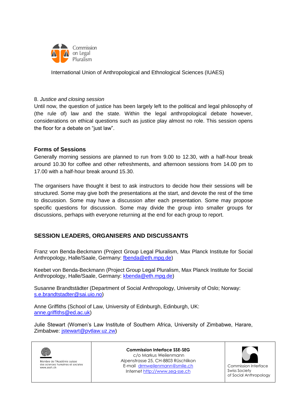

#### 8. *Justice and closing session*

Until now, the question of justice has been largely left to the political and legal philosophy of (the rule of) law and the state. Within the legal anthropological debate however, considerations on ethical questions such as justice play almost no role. This session opens the floor for a debate on "just law".

### **Forms of Sessions**

Generally morning sessions are planned to run from 9.00 to 12.30, with a half-hour break around 10.30 for coffee and other refreshments, and afternoon sessions from 14.00 pm to 17.00 with a half-hour break around 15.30.

The organisers have thought it best to ask instructors to decide how their sessions will be structured. Some may give both the presentations at the start, and devote the rest of the time to discussion. Some may have a discussion after each presentation. Some may propose specific questions for discussion. Some may divide the group into smaller groups for discussions, perhaps with everyone returning at the end for each group to report.

## **SESSION LEADERS, ORGANISERS AND DISCUSSANTS**

Franz von Benda-Beckmann (Project Group Legal Pluralism, Max Planck Institute for Social Anthropology, Halle/Saale, Germany: [fbenda@eth.mpg.de\)](mailto:fbenda@eth.mpg.de)

Keebet von Benda-Beckmann (Project Group Legal Pluralism, Max Planck Institute for Social Anthropology, Halle/Saale, Germany: [kbenda@eth.mpg.de\)](mailto:kbenda@eth.mpg.de)

Susanne Brandtstädter (Department of Social Anthropology, University of Oslo; Norway: [s.e.brandtstadter@sai.uio.no\)](mailto:s.e.brandtstadter@sai.uio.no)

Anne Griffiths (School of Law, University of Edinburgh, Edinburgh, UK: [anne.griffiths@ed.ac.uk\)](mailto:anne.griffiths@ed.ac.uk)

Julie Stewart (Women"s Law Institute of Southern Africa, University of Zimbabwe, Harare, Zimbabwe: [jstewart@pvtlaw.uz.zw\)](mailto:jstewart@pvtlaw.uz.zw)



Membre de l'Académie suisse des sciences humaines et sociales www.assh.ch

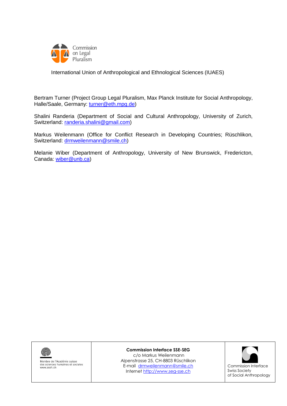

Bertram Turner (Project Group Legal Pluralism, Max Planck Institute for Social Anthropology, Halle/Saale, Germany: [turner@eth.mpg.de\)](mailto:turner@eth.mpg.de)

Shalini Randeria (Department of Social and Cultural Anthropology, University of Zurich, Switzerland: [randeria.shalini@gmail.com\)](mailto:randeria.shalini@gmail.com)

Markus Weilenmann (Office for Conflict Research in Developing Countries; Rüschlikon, Switzerland: [drmweilenmann@smile.ch\)](mailto:drmweilenmann@smile.ch)

Melanie Wiber (Department of Anthropology, University of New Brunswick, Fredericton, Canada: [wiber@unb.ca\)](mailto:wiber@unb.ca)



Membre de l'Académie suisse<br>des sciences humaines et sociales www.assh.ch

**Commission Interface SSE-SEG**

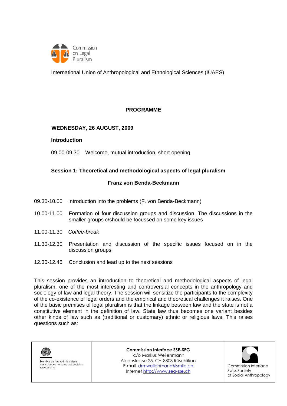

### **PROGRAMME**

#### **WEDNESDAY, 26 AUGUST, 2009**

#### **Introduction**

09.00-09.30 Welcome, mutual introduction, short opening

#### **Session 1: Theoretical and methodological aspects of legal pluralism**

#### **Franz von Benda-Beckmann**

- 09.30-10.00 Introduction into the problems (F. von Benda-Beckmann)
- 10.00-11.00 Formation of four discussion groups and discussion. The discussions in the smaller groups c/should be focussed on some key issues
- 11.00-11.30 *Coffee-break*
- 11.30-12.30 Presentation and discussion of the specific issues focused on in the discussion groups
- 12.30-12.45 Conclusion and lead up to the next sessions

This session provides an introduction to theoretical and methodological aspects of legal pluralism, one of the most interesting and controversial concepts in the anthropology and sociology of law and legal theory. The session will sensitize the participants to the complexity of the co-existence of legal orders and the empirical and theoretical challenges it raises. One of the basic premises of legal pluralism is that the linkage between law and the state is not a constitutive element in the definition of law. State law thus becomes one variant besides other kinds of law such as (traditional or customary) ethnic or religious laws. This raises questions such as:

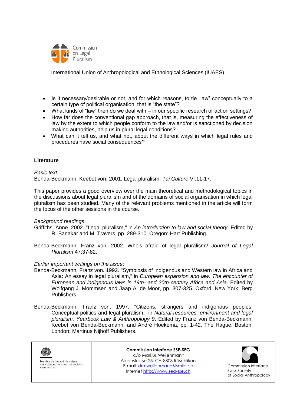

- Is it necessary/desirable or not, and for which reasons, to tie "law" conceptually to a certain type of political organisation, that is "the state"?
- What kinds of "law" then do we deal with in our specific research or action settings?
- How far does the conventional gap approach, that is, measuring the effectiveness of law by the extent to which people conform to the law and/or is sanctioned by decision making authorities, help us in plural legal conditions?
- What can it tell us, and what not, about the different ways in which legal rules and procedures have social consequences?

#### **Literature**

*Basic text*: Benda-Beckmann, Keebet von. 2001. Legal pluralism. *Tai Culture* VI:11-17.

This paper provides a good overview over the main theoretical and methodological topics in the discussions about legal pluralism and of the domains of social organisation in which legal pluralism has been studied. Many of the relevant problems mentioned in the article will form the focus of the other sessions in the course.

#### *Background readings*:

Griffiths, Anne. 2002. "Legal pluralism," in *An introduction to law and social theory*. Edited by R. Banakar and M. Travers, pp. 289-310. Oregon: Hart Publishing.

Benda-Beckmann, Franz von. 2002. Who's afraid of legal pluralism? *Journal of Legal Pluralism* 47:37-82.

#### *Earlier important writings on the issue*:

- Benda-Beckmann, Franz von. 1992. "Symbiosis of indigenous and Western law in Africa and Asia: An essay in legal pluralism," in *European expansion and law: The encounter of European and indigenous laws in 19th- and 20th-century Africa and Asia*. Edited by Wolfgang J. Mommsen and Jaap A. de Moor, pp. 307-325. Oxford, New York: Berg Publishers.
- Benda-Beckmann, Franz von. 1997. "Citizens, strangers and indigenous peoples: Conceptual politics and legal pluralism," in *Natural resources, environment and legal pluralism. Yearbook Law & Anthropology 9*. Edited by Franz von Benda-Beckmann, Keebet von Benda-Beckmann, and André Hoekema, pp. 1-42. The Hague, Boston, London: Martinus Nijhoff Publishers.

| <u>(1)</u><br>Membre de l'Académie suisse<br>des sciences humaines et sociales<br>www.assh.ch | <b>Commission Interface SSE-SEG</b><br>c/o Markus Weilenmann<br>Alpenstrasse 25, CH-8803 Rüschlikon<br>E-mail drmweilenmann@smile.ch<br>Internet http://www.seg-sse.ch | Commission Interface<br><b>Swiss Society</b><br>of Social Anthropology |
|-----------------------------------------------------------------------------------------------|------------------------------------------------------------------------------------------------------------------------------------------------------------------------|------------------------------------------------------------------------|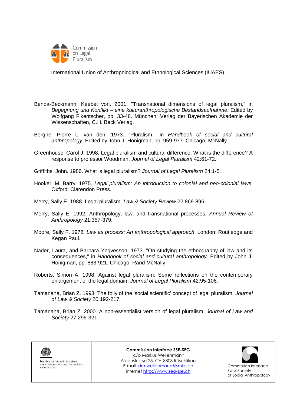

- Benda-Beckmann, Keebet von. 2001. "Transnational dimensions of legal pluralism," in *Begegnung und Konflikt – eine kulturanthropologische Bestandsaufnahme*. Edited by Wolfgang Fikentscher, pp. 33-48. München: Verlag der Bayerischen Akademie der Wissenschaften, C.H. Beck Verlag.
- Berghe, Pierre L. van den. 1973. "Pluralism," in *Handbook of social and cultural anthropology*. Edited by John J. Honigman, pp. 959-977. Chicago: McNally.
- Greenhouse, Carol J. 1998. Legal pluralism and cultural difference: What is the difference? A response to professor Woodman. *Journal of Legal Pluralism* 42:61-72.
- Griffiths, John. 1986. What is legal pluralism? *Journal of Legal Pluralism* 24:1-5.
- Hooker, M. Barry. 1975. *Legal pluralism: An introduction to colonial and neo-colonial laws*. Oxford: Clarendon Press.
- Merry, Sally E. 1988. Legal pluralism. *Law & Society Review* 22:869-896.
- Merry, Sally E. 1992. Anthropology, law, and transnational processes. *Annual Review of Anthropology* 21:357-379.
- Moore, Sally F. 1978. *Law as process: An anthropological approach*. London: Routledge and Kegan Paul.
- Nader, Laura, and Barbara Yngvesson. 1973. "On studying the ethnography of law and its consequences," in *Handbook of social and cultural anthropology*. Edited by John J. Honigman, pp. 883-921. Chicago: Rand McNally.
- Roberts, Simon A. 1998. Against legal pluralism: Some reflections on the contemporary enlargement of the legal domain. *Journal of Legal Pluralism* 42:95-106.
- Tamanaha, Brian Z. 1993. The folly of the 'social scientific' concept of legal pluralism. *Journal of Law & Society* 20:192-217.
- Tamanaha, Brian Z. 2000. A non-essentialist version of legal pluralism. *Journal of Law and Society* 27:296-321.



Membre de l'Académie suisse des sciences humaines et sociales www.assh.ch

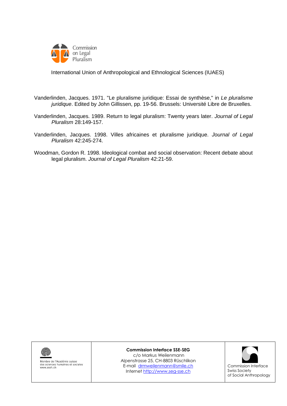

Vanderlinden, Jacques. 1971. "Le pluralisme juridique: Essai de synthèse," in *Le pluralisme juridique*. Edited by John Gillissen, pp. 19-56. Brussels: Université Libre de Bruxelles.

- Vanderlinden, Jacques. 1989. Return to legal pluralism: Twenty years later. *Journal of Legal Pluralism* 28:149-157.
- Vanderlinden, Jacques. 1998. Villes africaines et pluralisme juridique. *Journal of Legal Pluralism* 42:245-274.
- Woodman, Gordon R. 1998. Ideological combat and social observation: Recent debate about legal pluralism. *Journal of Legal Pluralism* 42:21-59.



Membre de l'Académie suisse<br>des sciences humaines et sociales www.assh.ch

**Commission Interface SSE-SEG**

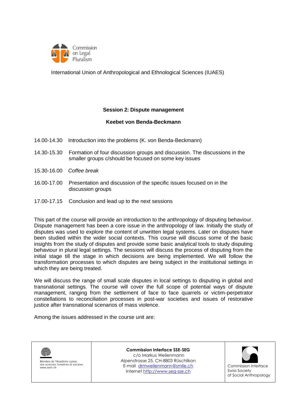

#### **Session 2: Dispute management**

#### **Keebet von Benda-Beckmann**

- 14.00-14.30 Introduction into the problems (K. von Benda-Beckmann)
- 14.30-15.30 Formation of four discussion groups and discussion. The discussions in the smaller groups c/should be focused on some key issues
- 15.30-16.00 *Coffee break*
- 16.00-17.00 Presentation and discussion of the specific issues focused on in the discussion groups
- 17.00-17.15 Conclusion and lead up to the next sessions

This part of the course will provide an introduction to the anthropology of disputing behaviour. Dispute management has been a core issue in the anthropology of law. Initially the study of disputes was used to explore the content of unwritten legal systems. Later on disputes have been studied within the wider social contexts. This course will discuss some of the basic insights from the study of disputes and provide some basic analytical tools to study disputing behaviour in plural legal settings. The sessions will discuss the process of disputing from the initial stage till the stage in which decisions are being implemented. We will follow the transformation processes to which disputes are being subject in the institutional settings in which they are being treated.

We will discuss the range of small scale disputes in local settings to disputing in global and transnational settings. The course will cover the full scope of potential ways of dispute management, ranging from the settlement of face to face quarrels or victim-perpetrator constellations to reconciliation processes in post-war societies and issues of restorative justice after transnational scenarios of mass violence.

Among the issues addressed in the course unit are:



Membre de l'Académie suisse des sciences humaines et sociales www.assh.ch

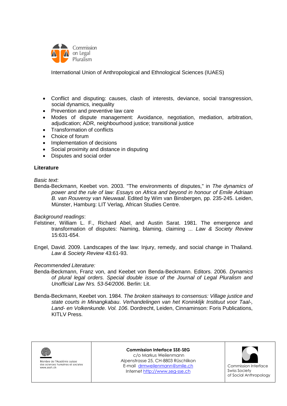

- Conflict and disputing: causes, clash of interests, deviance, social transgression, social dynamics, inequality
- Prevention and preventive law care
- Modes of dispute management: Avoidance, negotiation, mediation, arbitration, adjudication; ADR, neighbourhood justice; transitional justice
- Transformation of conflicts
- Choice of forum
- Implementation of decisions
- Social proximity and distance in disputing
- Disputes and social order

### **Literature**

#### *Basic text*:

Benda-Beckmann, Keebet von. 2003. "The environments of disputes," in *The dynamics of power and the rule of law: Essays on Africa and beyond in honour of Emile Adriaan B. van Rouveroy van Nieuwaal*. Edited by Wim van Binsbergen, pp. 235-245. Leiden, Münster, Hamburg: LIT Verlag, African Studies Centre.

#### *Background readings*:

- Felstiner, William L. F., Richard Abel, and Austin Sarat. 1981. The emergence and transformation of disputes: Naming, blaming, claiming ... *Law & Society Review* 15:631-654.
- Engel, David. 2009. Landscapes of the law: Injury, remedy, and social change in Thailand. *Law & Society Review* 43:61-93.

#### *Recommended Literature:*

- Benda-Beckmann, Franz von, and Keebet von Benda-Beckmann. Editors. 2006. *Dynamics of plural legal orders. Special double issue of the Journal of Legal Pluralism and Unofficial Law Nrs. 53-54/2006*. Berlin: Lit.
- Benda-Beckmann, Keebet von. 1984. *The broken stairways to consensus: Village justice and state courts in Minangkabau*. *Verhandelingen van het Koninklijk Instituut voor Taal-, Land- en Volkenkunde. Vol. 106*. Dordrecht, Leiden, Cinnaminson: Foris Publications, KITLV Press.



Membre de l'Académie suisse des sciences humaines et sociales www.assh.ch

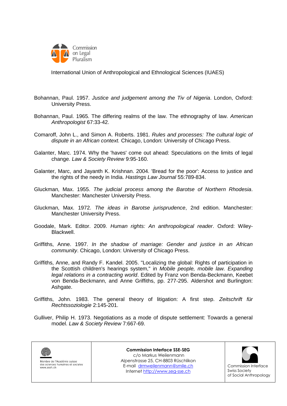

Bohannan, Paul. 1957. *Justice and judgement among the Tiv of Nigeria*. London, Oxford: University Press.

- Bohannan, Paul. 1965. The differing realms of the law. The ethnography of law. *American Anthropologist* 67:33-42.
- Comaroff, John L., and Simon A. Roberts. 1981. *Rules and processes: The cultural logic of dispute in an African context.* Chicago, London: University of Chicago Press.
- Galanter, Marc. 1974. Why the 'haves' come out ahead: Speculations on the limits of legal change. *Law & Society Review* 9:95-160.
- Galanter, Marc, and Jayanth K. Krishnan. 2004. 'Bread for the poor': Access to justice and the rights of the needy in India. *Hastings Law Journal* 55:789-834.
- Gluckman, Max. 1955. *The judicial process among the Barotse of Northern Rhodesia*. Manchester: Manchester University Press.
- Gluckman, Max. 1972. *The ideas in Barotse jurisprudence*, 2nd edition. Manchester: Manchester University Press.
- Goodale, Mark. Editor. 2009. *Human rights: An anthropological reader*. Oxford: Wiley-Blackwell.
- Griffiths, Anne. 1997. *In the shadow of marriage: Gender and justice in an African community*. Chicago, London: University of Chicago Press.
- Griffiths, Anne, and Randy F. Kandel. 2005. "Localizing the global: Rights of participation in the Scottish children's hearings system," in *Mobile people, mobile law. Expanding legal relations in a contracting world*. Edited by Franz von Benda-Beckmann, Keebet von Benda-Beckmann, and Anne Griffiths, pp. 277-295. Aldershot and Burlington: Ashgate.
- Griffiths, John. 1983. The general theory of litigation: A first step. *Zeitschrift für Rechtssoziologie* 2:145-201.
- Gulliver, Philip H. 1973. Negotiations as a mode of dispute settlement: Towards a general model. *Law & Society Review* 7:667-69.



Membre de l'Académie suisse des sciences humaines et sociales www.assh.ch

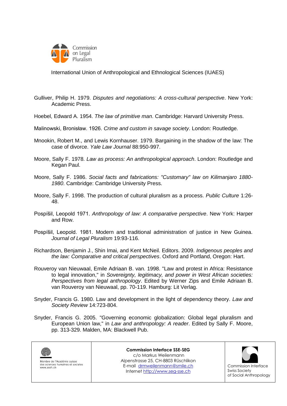

Gulliver, Philip H. 1979. *Disputes and negotiations: A cross-cultural perspective*. New York: Academic Press.

- Hoebel, Edward A. 1954. *The law of primitive man*. Cambridge: Harvard University Press.
- Malinowski, Bronisław. 1926. *Crime and custom in savage society*. London: Routledge.
- Mnookin, Robert M., and Lewis Kornhauser. 1979. Bargaining in the shadow of the law: The case of divorce. *Yale Law Journal* 88:950-997.
- Moore, Sally F. 1978. *Law as process: An anthropological approach*. London: Routledge and Kegan Paul.
- Moore, Sally F. 1986. *Social facts and fabrications: "Customary" law on Kilimanjaro 1880- 1980*. Cambridge: Cambridge University Press.
- Moore, Sally F. 1998. The production of cultural pluralism as a process. *Public Culture* 1:26- 48.
- Pospíšil, Leopold 1971. *Anthropology of law: A comparative perspective*. New York: Harper and Row.
- Pospíšil, Leopold. 1981. Modern and traditional administration of justice in New Guinea. *Journal of Legal Pluralism* 19:93-116.
- Richardson, Benjamin J., Shin Imai, and Kent McNeil. Editors. 2009. *Indigenous peoples and the law: Comparative and critical perspectives*. Oxford and Portland, Oregon: Hart.
- Rouveroy van Nieuwaal, Emile Adriaan B. van. 1998. "Law and protest in Africa: Resistance to legal innovation," in *Sovereignty, legitimacy, and power in West African societies: Perspectives from legal anthropology*. Edited by Werner Zips and Emile Adriaan B. van Rouveroy van Nieuwaal, pp. 70-119. Hamburg: Lit Verlag.
- Snyder, Francis G. 1980. Law and development in the light of dependency theory. *Law and Society Review* 14:723-804.
- Snyder, Francis G. 2005. "Governing economic globalization: Global legal pluralism and European Union law," in *Law and anthropology: A reader*. Edited by Sally F. Moore, pp. 313-329. Malden, MA: Blackwell Pub.

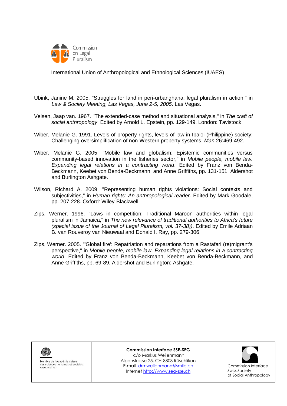

- Ubink, Janine M. 2005. "Struggles for land in peri-urbanghana: legal pluralism in action," in *Law & Society Meeting, Las Vegas, June 2-5, 2005*. Las Vegas.
- Velsen, Jaap van. 1967. "The extended-case method and situational analysis," in *The craft of social anthropology*. Edited by Arnold L. Epstein, pp. 129-149. London: Tavistock.
- Wiber, Melanie G. 1991. Levels of property rights, levels of law in Ibaloi (Philippine) society: Challenging oversimplification of non-Western property systems. *Man* 26:469-492.
- Wiber, Melanie G. 2005. "Mobile law and globalism: Epistemic communities versus community-based innovation in the fisheries sector," in *Mobile people, mobile law. Expanding legal relations in a contracting world*. Edited by Franz von Benda-Beckmann, Keebet von Benda-Beckmann, and Anne Griffiths, pp. 131-151. Aldershot and Burlington Ashgate.
- Wilson, Richard A. 2009. "Representing human rights violations: Social contexts and subjectivities," in *Human rights: An anthropological reader*. Edited by Mark Goodale, pp. 207-228. Oxford: Wiley-Blackwell.
- Zips, Werner. 1996. "Laws in competition: Traditional Maroon authorities within legal pluralism in Jamaica," in *The new relevance of traditional authorities to Africa's future (special issue of the Journal of Legal Pluralism, vol. 37-38))*. Edited by Emile Adriaan B. van Rouveroy van Nieuwaal and Donald I. Ray, pp. 279-306.
- Zips, Werner. 2005. "'Global fire': Repatriation and reparations from a Rastafari (re)migrant's perspective," in *Mobile people, mobile law. Expanding legal relations in a contracting world*. Edited by Franz von Benda-Beckmann, Keebet von Benda-Beckmann, and Anne Griffiths, pp. 69-89. Aldershot and Burlington: Ashgate.



Membre de l'Académie suisse des sciences humaines et sociales www.assh.ch

**Commission Interface SSE-SEG**

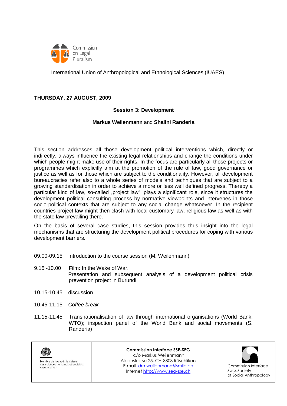

## **THURSDAY, 27 AUGUST, 2009**

### **Session 3: Development**

#### **Markus Weilenmann** and **Shalini Randeria**

. The same independent of the same independent of the same independent of the same independent of the same independent of the same independent of the same independent of the same independent of the same independent of the

This section addresses all those development political interventions which, directly or indirectly, always influence the existing legal relationships and change the conditions under which people might make use of their rights. In the focus are particularly all those projects or programmes which explicitly aim at the promotion of the rule of law, good governance or justice as well as for those which are subject to the conditionality. However, all development bureaucracies refer also to a whole series of models and techniques that are subject to a growing standardisation in order to achieve a more or less well defined progress. Thereby a particular kind of law, so-called "project law", plays a significant role, since it structures the development political consulting process by normative viewpoints and intervenes in those socio-political contexts that are subject to any social change whatsoever. In the recipient countries project law might then clash with local customary law, religious law as well as with the state law prevailing there.

On the basis of several case studies, this session provides thus insight into the legal mechanisms that are structuring the development political procedures for coping with various development barriers.

- 09.00-09.15 Introduction to the course session (M. Weilenmann)
- 9.15 -10.00 Film: In the Wake of War. Presentation and subsequent analysis of a development political crisis prevention project in Burundi
- 10.15-10.45 discussion
- 10.45-11.15 *Coffee break*
- 11.15-11.45 Transnationalisation of law through international organisations (World Bank, WTO); inspection panel of the World Bank and social movements (S. Randeria)



Membre de l'Académie suisse des sciences humaines et sociales www.assh.ch

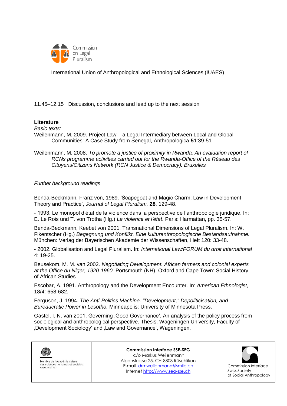

11.45–12.15 Discussion, conclusions and lead up to the next session

### **Literature**

*Basic texts*:

Weilenmann, M. 2009. Project Law – a Legal Intermediary between Local and Global Communities: A Case Study from Senegal, Anthropologica **51**:39-51

Weilenmann, M. 2008. *To promote a justice of proximity in Rwanda. An evaluation report of RCNs programme activities carried out for the Rwanda-Office of the Réseau des Citoyens/Citizens Network (RCN Justice & Democracy). Bruxelles*

#### *Further background readings*

Benda-Beckmann, Franz von, 1989. "Scapegoat and Magic Charm: Law in Development Theory and Practice", *Journal of Legal Pluralism,* **28**, 129-48.

- 1993. Le monopol d"état de la violence dans la perspective de l"anthropologie juridique. In: E. Le Rois und T. von Trotha (Hg.) *La violence et l'état*. Paris: Harmattan, pp. 35-57.

Benda-Beckmann, Keebet von 2001. Transnational Dimensions of Legal Pluralism. In: W. Fikentscher (Hg.) *Begegnung und Konflikt. Eine kulturanthropologische Bestandsaufnahme.* München: Verlag der Bayerischen Akademie der Wissenschaften, Heft 120: 33-48.

- 2002. Globalisation and Legal Pluralism. In: *International Law/FORUM du droit international* 4: 19-25.

Beusekom, M. M. van 2002. *Negotiating Development. African farmers and colonial experts at the Office du Niger, 1920-1960.* Portsmouth (NH), Oxford and Cape Town: Social History of African Studies

Escobar, A. 1991. Anthropology and the Development Encounter. In: *American Ethnologist,* 18/4: 658-682.

Ferguson, J. 1994. *The Anti-Politics Machine*. *"Development," Depoliticisation, and Bureaucratic Power in Lesotho,* Minneapolis: University of Minnesota Press.

Gastel, I. N. van 2001. Governing , Good Governance'. An analysis of the policy process from sociological and anthropological perspective. Thesis. Wageningen University, Faculty of ,Development Sociology' and ,Law and Governance', Wageningen.



Membre de l'Académie suisse des sciences humaines et sociales www.assh.ch

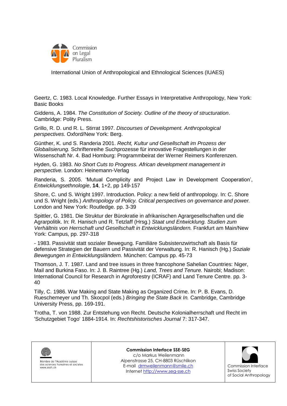

Geertz, C. 1983. Local Knowledge. Further Essays in Interpretative Anthropology, New York: Basic Books

Giddens, A. 1984. *The Constitution of Society. Outline of the theory of structuration*. Cambridge: Polity Press.

Grillo, R. D. und R. L. Stirrat 1997. *Discourses of Development. Anthropological perspectives*. Oxford/New York: Berg.

Günther, K. und S. Randeria 2001. *Recht, Kultur und Gesellschaft im Prozess der Globalisierung.* Schriftenreihe Suchprozesse für innovative Fragestellungen in der Wissenschaft Nr. 4. Bad Homburg: Programmbeirat der Werner Reimers Konferenzen.

Hyden, G. 1983. *No Short Cuts to Progress. African development management in perspective.* London: Heinemann-Verlag

Randeria, S. 2005. "Mutual Complicity and Project Law in Development Cooperation", *Entwicklungsethnologie*, **14**, 1+2, pp 149-157

Shore, C. und S. Wright 1997. Introduction. Policy: a new field of anthropology. In: C. Shore und S. Wright (eds.) *Anthropology of Policy. Critical perspectives on governance and power.*  London and New York: Routledge. pp. 3-39

Spittler, G. 1981. Die Struktur der Bürokratie in afrikanischen Agrargesellschaften und die Agrarpolitik. In: R. Hanisch und R. Tetzlaff (Hrsg.) *Staat und Entwicklung. Studien zum Verhältnis von Herrschaft und Gesellschaft in Entwicklungsländern.* Frankfurt am Main/New York: Campus, pp. 297-318

- 1983. Passivität statt sozialer Bewegung. Familiäre Subsistenzwirtschaft als Basis für defensive Strategien der Bauern und Passivität der Verwaltung. In: R. Hanisch (Hg.) *Soziale Bewegungen in Entwicklungsländern.* München: Campus pp. 45-73

Thomson, J. T. 1987. Land and tree issues in three francophone Sahelian Countries: Niger, Mail and Burkina Faso. In: J. B. Raintree (Hg.) *Land, Trees and Tenure.* Nairobi; Madison: International Council for Research in Agroforestry (ICRAF) and Land Tenure Centre. pp. 3- 40

Tilly, C. 1986. War Making and State Making as Organized Crime. In: P. B. Evans, D. Rueschemeyer und Th. Skocpol (eds.) *Bringing the State Back In.* Cambridge, Cambridge University Press, pp. 169-191.

Trotha, T. von 1988. Zur Entstehung von Recht. Deutsche Kolonialherrschaft und Recht im 'Schutzgebiet Togo' 1884-1914. In: *Rechtshistorisches Journal* 7: 317-347.



Membre de l'Académie suisse des sciences humaines et sociales www.assh.ch

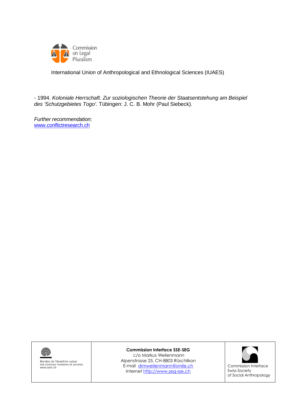

- 1994. *Koloniale Herrschaft. Zur soziologischen Theorie der Staatsentstehung am Beispiel des 'Schutzgebietes Togo'.* Tübingen: J. C. B. Mohr (Paul Siebeck).

*Further recommendation*: [www.conflictresearch.ch](http://www.conflictresearch.ch/)



Membre de l'Académie suisse<br>des sciences humaines et sociales<br>www.assh.ch

#### **Commission Interface SSE-SEG**

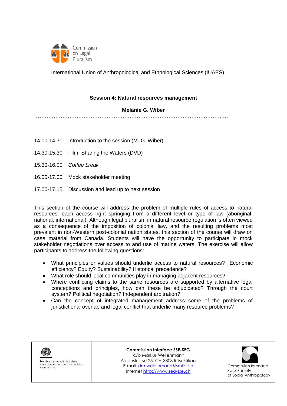

#### **Session 4: Natural resources management**

#### **Melanie G. Wiber**

…………………………………………………………………………………………….….

- 14.00-14.30 Introduction to the session (M. G. Wiber)
- 14.30-15.30 Film: Sharing the Waters (DVD)
- 15.30-16.00 *Coffee break*
- 16.00-17.00 Mock stakeholder meeting
- 17.00-17.15 Discussion and lead up to next session

This section of the course will address the problem of multiple rules of access to natural resources, each access right springing from a different level or type of law (aboriginal, national, international). Although legal pluralism in natural resource regulation is often viewed as a consequence of the imposition of colonial law, and the resulting problems most prevalent in non-Western post-colonial nation states, this section of the course will draw on case material from Canada. Students will have the opportunity to participate in mock stakeholder negotiations over access to and use of marine waters. The exercise will allow participants to address the following questions:

- What principles or values should underlie access to natural resources? Economic efficiency? Equity? Sustainability? Historical precedence?
- What role should local communities play in managing adjacent resources?
- Where conflicting claims to the same resources are supported by alternative legal conceptions and principles, how can these be adjudicated? Through the court system? Political negotiation? Independent arbitration?
- Can the concept of integrated management address some of the problems of jurisdictional overlap and legal conflict that underlie many resource problems?



Membre de l'Académie suisse des sciences humaines et sociales www.assh.ch

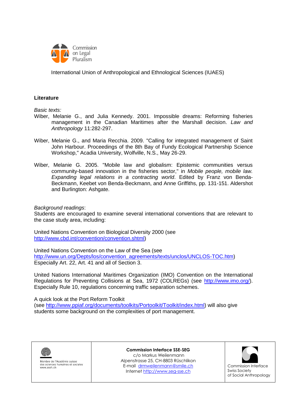

#### **Literature**

*Basic texts:*

- Wiber, Melanie G., and Julia Kennedy. 2001. Impossible dreams: Reforming fisheries management in the Canadian Maritimes after the Marshall decision. *Law and Anthropology* 11:282-297.
- Wiber, Melanie G., and Maria Recchia. 2009. "Calling for integrated management of Saint John Harbour. Proceedings of the 8th Bay of Fundy Ecological Partnership Science Workshop," Acadia University, Wolfville, N.S., May 26-29.
- Wiber, Melanie G. 2005. "Mobile law and globalism: Epistemic communities versus community-based innovation in the fisheries sector," in *Mobile people, mobile law. Expanding legal relations in a contracting world*. Edited by Franz von Benda-Beckmann, Keebet von Benda-Beckmann, and Anne Griffiths, pp. 131-151. Aldershot and Burlington: Ashgate.

#### *Background readings*:

Students are encouraged to examine several international conventions that are relevant to the case study area, including:

United Nations Convention on Biological Diversity 2000 (see [http://www.cbd.int/convention/convention.shtml\)](http://www.cbd.int/convention/convention.shtml)

United Nations Convention on the Law of the Sea (see [http://www.un.org/Depts/los/convention\\_agreements/texts/unclos/UNCLOS-TOC.htm\)](http://www.un.org/Depts/los/convention_agreements/texts/unclos/UNCLOS-TOC.htm) Especially Art. 22, Art. 41 and all of Section 3.

United Nations International Maritimes Organization (IMO) Convention on the International Regulations for Preventing Collisions at Sea, 1972 (COLREGs) (see [http://www.imo.org/\)](http://www.imo.org/). Especially Rule 10, regulations concerning traffic separation schemes.

A quick look at the Port Reform Toolkit

(see [http://www.ppiaf.org/documents/toolkits/Portoolkit/Toolkit/index.html\)](http://www.ppiaf.org/documents/toolkits/Portoolkit/Toolkit/index.html) will also give students some background on the complexities of port management.



Membre de l'Académie suisse des sciences humaines et sociales www.assh.ch

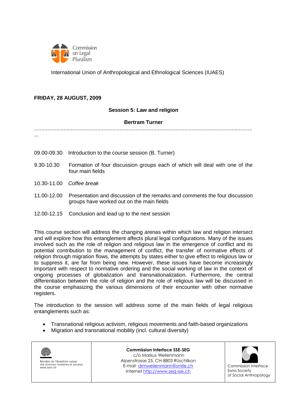

### **FRIDAY, 28 AUGUST, 2009**

#### **Session 5: Law and religion**

#### **Bertram Turner**

.................................................................................................................................................... ...

- 09.00-09.30 Introduction to the course session (B. Turner)
- 9.30-10.30 Formation of four discussion groups each of which will deal with one of the four main fields
- 10.30-11.00 *Coffee break*
- 11.00-12.00 Presentation and discussion of the remarks and comments the four discussion groups have worked out on the main fields
- 12.00-12.15 Conclusion and lead up to the next session

This course section will address the changing arenas within which law and religion intersect and will explore how this entanglement affects plural legal configurations. Many of the issues involved such as the role of religion and religious law in the emergence of conflict and its potential contribution to the management of conflict, the transfer of normative effects of religion through migration flows, the attempts by states either to give effect to religious law or to suppress it, are far from being new. However, these issues have become increasingly important with respect to normative ordering and the social working of law in the context of ongoing processes of globalization and transnationalization. Furthermore, the central differentiation between the role of religion and the role of religious law will be discussed in the course emphasizing the various dimensions of their encounter with other normative registers.

The introduction to the session will address some of the main fields of legal religious entanglements such as:

- Transnational religious activism, religious movements and faith-based organizations
- Migration and transnational mobility (incl. cultural diversity)



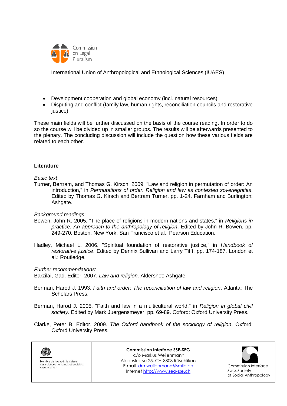

- Development cooperation and global economy (incl. natural resources)
- Disputing and conflict (family law, human rights, reconciliation councils and restorative justice)

These main fields will be further discussed on the basis of the course reading. In order to do so the course will be divided up in smaller groups. The results will be afterwards presented to the plenary. The concluding discussion will include the question how these various fields are related to each other.

#### **Literature**

#### *Basic text*:

Turner, Bertram, and Thomas G. Kirsch. 2009. "Law and religion in permutation of order: An introduction," in *Permutations of order. Religion and law as contested sovereignties*. Edited by Thomas G. Kirsch and Bertram Turner, pp. 1-24. Farnham and Burlington: Ashgate.

#### *Background readings*:

- Bowen, John R. 2005. "The place of religions in modern nations and states," in *Religions in practice. An approach to the anthropology of religion*. Edited by John R. Bowen, pp. 249-270. Boston, New York, San Francisco et al.: Pearson Education.
- Hadley, Michael L. 2006. "Spiritual foundation of restorative justice," in *Handbook of restorative justice*. Edited by Dennix Sullivan and Larry Tifft, pp. 174-187. London et al.: Routledge.

#### *Further recommendations*:

Barzilai, Gad. Editor. 2007. *Law and religion*. Aldershot: Ashgate.

- Berman, Harod J. 1993. *Faith and order: The reconciliation of law and religion*. Atlanta: The Scholars Press.
- Berman, Harod J. 2005. "Faith and law in a multicultural world," in *Religion in global civil society*. Edited by Mark Juergensmeyer, pp. 69-89. Oxford: Oxford University Press.
- Clarke, Peter B. Editor. 2009. *The Oxford handbook of the sociology of religion*. Oxford: Oxford University Press.



Membre de l'Académie suisse des sciences humaines et sociales www.assh.ch

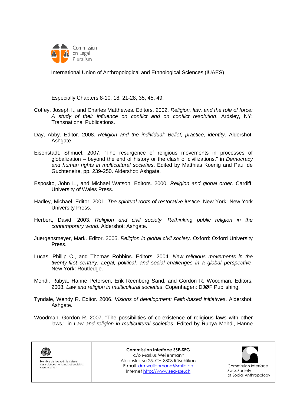

Especially Chapters 8-10, 18, 21-28, 35, 45, 49.

- Coffey, Joseph I., and Charles Matthewes. Editors. 2002. *Religion, law, and the role of force: A study of their influence on conflict and on conflict resolution*. Ardsley, NY: Transnational Publications.
- Day, Abby. Editor. 2008. *Religion and the individual: Belief, practice, identity*. Aldershot: Ashgate.
- Eisenstadt, Shmuel. 2007. "The resurgence of religious movements in processes of globalization – beyond the end of history or the clash of civilizations," in *Democracy and human rights in multicultural societies*. Edited by Matthias Koenig and Paul de Guchteneire, pp. 239-250. Aldershot: Ashgate.
- Esposito, John L., and Michael Watson. Editors. 2000. *Religion and global order*. Cardiff: University of Wales Press.
- Hadley, Michael. Editor. 2001. *The spiritual roots of restorative justice*. New York: New York University Press.
- Herbert, David. 2003. *Religion and civil society. Rethinking public religion in the contemporary world*. Aldershot: Ashgate.
- Juergensmeyer, Mark. Editor. 2005. *Religion in global civil society*. Oxford: Oxford University Press.
- Lucas, Phillip C., and Thomas Robbins. Editors. 2004. *New religious movements in the twenty-first century: Legal, political, and social challenges in a global perspective*. New York: Routledge.
- Mehdi, Rubya, Hanne Petersen, Erik Reenberg Sand, and Gordon R. Woodman. Editors. 2008. *Law and religion in multicultural societies*. Copenhagen: DJØF Publishing.
- Tyndale, Wendy R. Editor. 2006. *Visions of development: Faith-based initiatives*. Aldershot: Ashgate.
- Woodman, Gordon R. 2007. "The possibilities of co-existence of religious laws with other laws," in *Law and religion in multicultural societies*. Edited by Rubya Mehdi, Hanne



Membre de l'Académie suisse des sciences humaines et sociales www.assh.ch

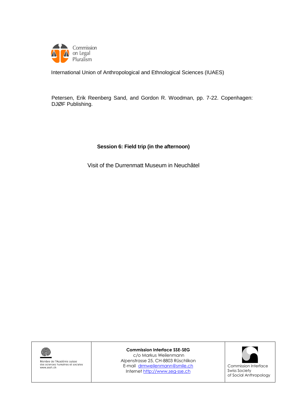

Petersen, Erik Reenberg Sand, and Gordon R. Woodman, pp. 7-22. Copenhagen: DJØF Publishing.

### **Session 6: Field trip (in the afternoon)**

Visit of the Durrenmatt Museum in Neuchâtel



Membre de l'Académie suisse<br>des sciences humaines et sociales<br>www.assh.ch

**Commission Interface SSE-SEG**

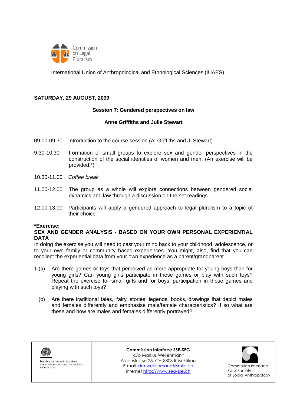

#### **SATURDAY, 29 AUGUST, 2009**

#### **Session 7: Gendered perspectives on law**

#### **Anne Griffiths and Julie Stewart**

- 09.00-09.30 Introduction to the course session (A. Griffiths and J. Stewart)
- 9.30-10.30 Formation of small groups to explore sex and gender perspectives in the construction of the social identities of women and men. (An exercise will be provided.\*)
- 10.30-11.00 *Coffee break*
- 11.00-12.00 The group as a whole will explore connections between gendered social dynamics and law through a discussion on the set readings.
- 12.00-13.00 Participants will apply a gendered approach to legal pluralism to a topic of their choice

#### **\*Exercise:**

#### **SEX AND GENDER ANALYSIS - BASED ON YOUR OWN PERSONAL EXPERIENTIAL DATA**

In doing the exercise you will need to cast your mind back to your childhood, adolescence, or to your own family or community based experiences. You might, also, find that you can recollect the experiential data from your own experience as a parent/grandparent.

- 1 (a) Are there games or toys that perceived as more appropriate for young boys than for young girls? Can young girls participate in these games or play with such toys? Repeat the exercise for small girls and for boys" participation in those games and playing with such toys?
	- (b) Are there traditional tales, "fairy" stories, legends, books, drawings that depict males and females differently and emphasise male/female characteristics? If so what are these and how are males and females differently portrayed?



Membre de l'Académie suisse des sciences humaines et sociales www.assh.ch

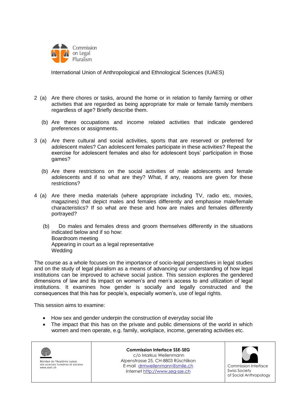

- 2 (a) Are there chores or tasks, around the home or in relation to family farming or other activities that are regarded as being appropriate for male or female family members regardless of age? Briefly describe them.
	- (b) Are there occupations and income related activities that indicate gendered preferences or assignments.
- 3 (a) Are there cultural and social activities, sports that are reserved or preferred for adolescent males? Can adolescent females participate in these activities? Repeat the exercise for adolescent females and also for adolescent boys" participation in those games?
	- (b) Are there restrictions on the social activities of male adolescents and female adolescents and if so what are they? What, if any, reasons are given for these restrictions?
- 4 (a) Are there media materials (where appropriate including TV, radio etc, movies, magazines) that depict males and females differently and emphasise male/female characteristics? If so what are these and how are males and females differently portrayed?
	- (b) Do males and females dress and groom themselves differently in the situations indicated below and if so how: Boardroom meeting Appearing in court as a legal representative Wedding

The course as a whole focuses on the importance of socio-legal perspectives in legal studies and on the study of legal pluralism as a means of advancing our understanding of how legal institutions can be improved to achieve social justice. This session explores the gendered dimensions of law and its impact on women"s and men"s access to and utilization of legal institutions. It examines how gender is socially and legally constructed and the consequences that this has for people"s, especially women"s, use of legal rights.

This session aims to examine:

- How sex and gender underpin the construction of everyday social life
- The impact that this has on the private and public dimensions of the world in which women and men operate, e.g. family, workplace, income, generating activities etc.

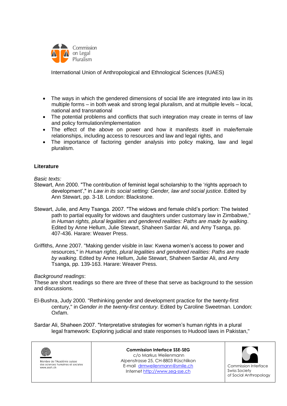

- The ways in which the gendered dimensions of social life are integrated into law in its multiple forms – in both weak and strong legal pluralism, and at multiple levels – local, national and transnational
- The potential problems and conflicts that such integration may create in terms of law and policy formulation/implementation
- The effect of the above on power and how it manifests itself in male/female relationships, including access to resources and law and legal rights, and
- The importance of factoring gender analysis into policy making, law and legal pluralism.

### **Literature**

*Basic texts:*

- Stewart, Ann 2000. "The contribution of feminist legal scholarship to the "rights approach to development"," in *Law in its social setting: Gender, law and social justice*. Edited by Ann Stewart, pp. 3-18. London: Blackstone.
- Stewart, Julie, and Amy Tsanga. 2007. "The widows and female child"s portion: The twisted path to partial equality for widows and daughters under customary law in Zimbabwe," in *Human rights, plural legalities and gendered realities: Paths are made by walking*. Edited by Anne Hellum, Julie Stewart, Shaheen Sardar Ali, and Amy Tsanga, pp. 407-436. Harare: Weaver Press.
- Griffiths, Anne 2007. "Making gender visible in law: Kwena women"s access to power and resources," in *Human rights, plural legalities and gendered realities: Paths are made by walking*. Edited by Anne Hellum, Julie Stewart, Shaheen Sardar Ali, and Amy Tsanga, pp. 139-163. Harare: Weaver Press.

#### *Background readings*:

These are short readings so there are three of these that serve as background to the session and discussions.

- El-Bushra, Judy 2000. "Rethinking gender and development practice for the twenty-first century," in *Gender in the twenty-first century*. Edited by Caroline Sweetman. London: Oxfam.
- Sardar Ali, Shaheen 2007. "Interpretative strategies for women's human rights in a plural legal framework: Exploring judicial and state responses to Hudood laws in Pakistan,"

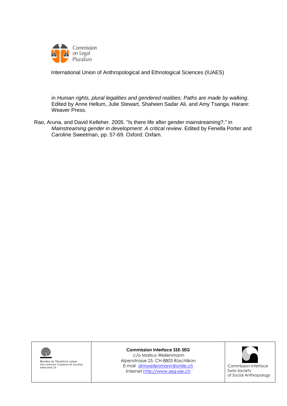

in *Human rights, plural legalities and gendered realities: Paths are made by walking*. Edited by Anne Hellum, Julie Stewart, Shaheen Sadar Ali, and Amy Tsanga. Harare: Weaver Press.

Rao, Aruna, and David Kelleher. 2005. "Is there life after gender mainstreaming?," in *Mainstreaming gender in development: A critical review*. Edited by Fenella Porter and Caroline Sweetman, pp. 57-69. Oxford: Oxfam.



Membre de l'Académie suisse<br>des sciences humaines et sociales www.assh.ch

#### **Commission Interface SSE-SEG**

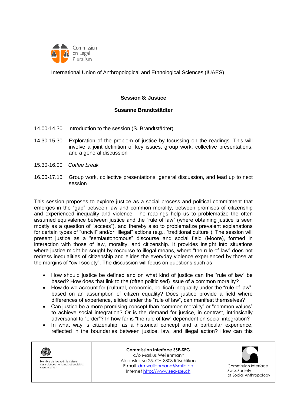

#### **Session 8: Justice**

#### **Susanne Brandtstädter**

- 14.00-14.30 Introduction to the session (S. Brandtstädter)
- 14.30-15.30 Exploration of the problem of justice by focussing on the readings. This will involve a joint definition of key issues, group work, collective presentations, and a general discussion
- 15.30-16.00 *Coffee break*
- 16.00-17.15 Group work, collective presentations, general discussion, and lead up to next session

This session proposes to explore justice as a social process and political commitment that emerges in the "gap" between law and common morality, between promises of citizenship and experienced inequality and violence. The readings help us to problematize the often assumed equivalence between justice and the "rule of law" (where obtaining justice is seen mostly as a question of "access"), and thereby also to problematize prevalent explanations for certain types of "uncivil" and/or "illegal" actions (e.g., "traditional culture"). The session will present justice as a "semiautonomous" discourse and social field (Moore), formed in interaction with those of law, morality, and citizenship. It provides insight into situations where justice might be sought by recourse to illegal means, where "the rule of law" does not redress inequalities of citizenship and elides the everyday violence experienced by those at the margins of "civil society". The discussion will focus on questions such as

- How should justice be defined and on what kind of justice can the "rule of law" be based? How does that link to the (often politicised) issue of a common morality?
- How do we account for (cultural, economic, political) inequality under the "rule of law", based on an assumption of citizen equality? Does justice provide a field where differences of experience, elided under the "rule of law", can manifest themselves?
- Can justice be a more promising concept than "common morality" or "common values" to achieve social integration? Or is the demand for justice, in contrast, intrinsically adversarial to "order"? In how far is "the rule of law" dependent on social integration?
- In what way is citizenship, as a historical concept and a particular experience, reflected in the boundaries between justice, law, and illegal action? How can this



Membre de l'Académie suisse des sciences humaines et sociales www.assh.ch